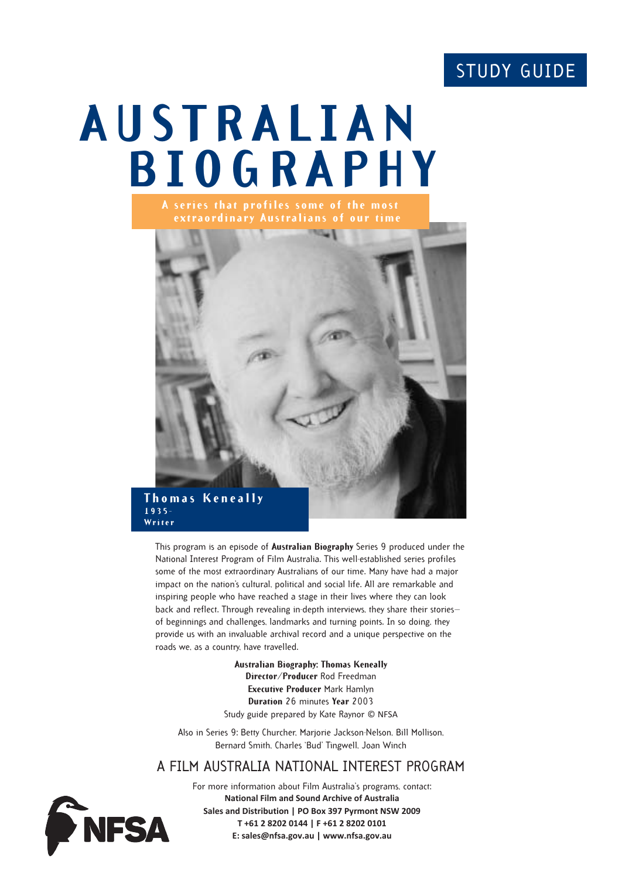# STUDY GUIDE

# **AUSTRALIAN BIOGRAPHY**



This program is an episode of **Australian Biography** Series 9 produced under the National Interest Program of Film Australia. This well-established series profiles some of the most extraordinary Australians of our time. Many have had a major impact on the nation's cultural, political and social life. All are remarkable and inspiring people who have reached a stage in their lives where they can look back and reflect. Through revealing in-depth interviews, they share their stories of beginnings and challenges, landmarks and turning points. In so doing, they provide us with an invaluable archival record and a unique perspective on the roads we, as a country, have travelled.

> **Australian Biography: Thomas Keneally Director/Producer** Rod Freedman **Executive Producer** Mark Hamlyn **Duration** 26 minutes **Year** 2003 Study guide prepared by Kate Raynor © NFSA

Also in Series 9: Betty Churcher, Marjorie Jackson-Nelson, Bill Mollison, Bernard Smith, Charles 'Bud' Tingwell, Joan Winch

# A FILM AUSTRALIA NATIONAL INTEREST PROGRAM



**Writer**

For more information about Film Australia's programs, contact: **National Film and Sound Archive of Australia Sales and Distribution | PO Box 397 Pyrmont NSW 2009 T +61 2 8202 0144 | F +61 2 8202 0101 E: sales@nfsa.gov.au | www.nfsa.gov.au**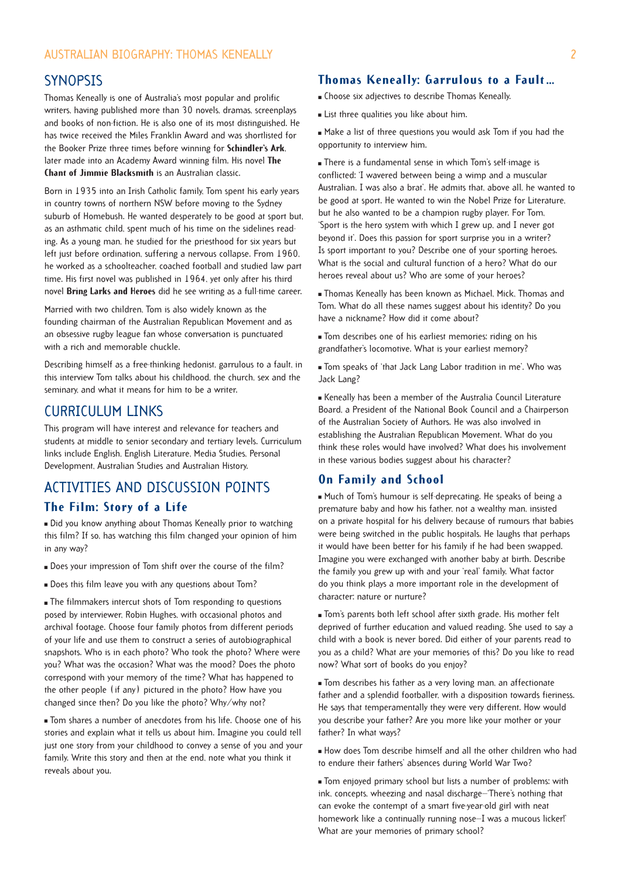# **SYNOPSIS**

Thomas Keneally is one of Australia's most popular and prolific writers, having published more than 30 novels, dramas, screenplays and books of non-fiction. He is also one of its most distinguished. He has twice received the Miles Franklin Award and was shortlisted for the Booker Prize three times before winning for **Schindler's Ark**, later made into an Academy Award winning film. His novel **The Chant of Jimmie Blacksmith** is an Australian classic.

Born in 1935 into an Irish Catholic family, Tom spent his early years in country towns of northern NSW before moving to the Sydney suburb of Homebush. He wanted desperately to be good at sport but, as an asthmatic child, spent much of his time on the sidelines reading. As a young man, he studied for the priesthood for six years but left just before ordination, suffering a nervous collapse. From 1960, he worked as a schoolteacher, coached football and studied law part time. His first novel was published in 1964, yet only after his third novel **Bring Larks and Heroes** did he see writing as a full-time career.

Married with two children, Tom is also widely known as the founding chairman of the Australian Republican Movement and as an obsessive rugby league fan whose conversation is punctuated with a rich and memorable chuckle.

Describing himself as a free-thinking hedonist, garrulous to a fault, in this interview Tom talks about his childhood, the church, sex and the seminary, and what it means for him to be a writer.

# CURRICULUM LINKS

This program will have interest and relevance for teachers and students at middle to senior secondary and tertiary levels. Curriculum links include English, English Literature, Media Studies, Personal Development, Australian Studies and Australian History.

# ACTIVITIES AND DISCUSSION POINTS

# **The Film: Story of a Life**

 Did you know anything about Thomas Keneally prior to watching this film? If so, has watching this film changed your opinion of him in any way?

- Does your impression of Tom shift over the course of the film?
- Does this film leave you with any questions about Tom?

 The filmmakers intercut shots of Tom responding to questions posed by interviewer, Robin Hughes, with occasional photos and archival footage. Choose four family photos from different periods of your life and use them to construct a series of autobiographical snapshots. Who is in each photo? Who took the photo? Where were you? What was the occasion? What was the mood? Does the photo correspond with your memory of the time? What has happened to the other people (if any) pictured in the photo? How have you changed since then? Do you like the photo? Why/why not?

 Tom shares a number of anecdotes from his life. Choose one of his stories and explain what it tells us about him. Imagine you could tell just one story from your childhood to convey a sense of you and your family. Write this story and then at the end, note what you think it reveals about you.

# **Thomas Keneally: Garrulous to a Fault …**

- Choose six adjectives to describe Thomas Keneally.
- **List three qualities you like about him.**

 Make a list of three questions you would ask Tom if you had the opportunity to interview him.

 There is a fundamental sense in which Tom's self-image is conflicted: 'I wavered between being a wimp and a muscular Australian. I was also a brat'. He admits that, above all, he wanted to be good at sport. He wanted to win the Nobel Prize for Literature, but he also wanted to be a champion rugby player. For Tom, 'Sport is the hero system with which I grew up, and I never got beyond it'. Does this passion for sport surprise you in a writer? Is sport important to you? Describe one of your sporting heroes. What is the social and cultural function of a hero? What do our heroes reveal about us? Who are some of your heroes?

 Thomas Keneally has been known as Michael, Mick, Thomas and Tom. What do all these names suggest about his identity? Do you have a nickname? How did it come about?

 Tom describes one of his earliest memories: riding on his grandfather's locomotive. What is your earliest memory?

 Tom speaks of 'that Jack Lang Labor tradition in me'. Who was Jack Lang?

 Keneally has been a member of the Australia Council Literature Board, a President of the National Book Council and a Chairperson of the Australian Society of Authors. He was also involved in establishing the Australian Republican Movement. What do you think these roles would have involved? What does his involvement in these various bodies suggest about his character?

# **On Family and School**

 Much of Tom's humour is self-deprecating. He speaks of being a premature baby and how his father, not a wealthy man, insisted on a private hospital for his delivery because of rumours that babies were being switched in the public hospitals. He laughs that perhaps it would have been better for his family if he had been swapped. Imagine you were exchanged with another baby at birth. Describe the family you grew up with and your 'real' family. What factor do you think plays a more important role in the development of character: nature or nurture?

 Tom's parents both left school after sixth grade. His mother felt deprived of further education and valued reading. She used to say a child with a book is never bored. Did either of your parents read to you as a child? What are your memories of this? Do you like to read now? What sort of books do you enjoy?

 Tom describes his father as a very loving man, an affectionate father and a splendid footballer, with a disposition towards fieriness. He says that temperamentally they were very different. How would you describe your father? Are you more like your mother or your father? In what ways?

 How does Tom describe himself and all the other children who had to endure their fathers' absences during World War Two?

 Tom enjoyed primary school but lists a number of problems: with ink, concepts, wheezing and nasal discharge—'There's nothing that can evoke the contempt of a smart five-year-old girl with neat homework like a continually running nose-I was a mucous licker!' What are your memories of primary school?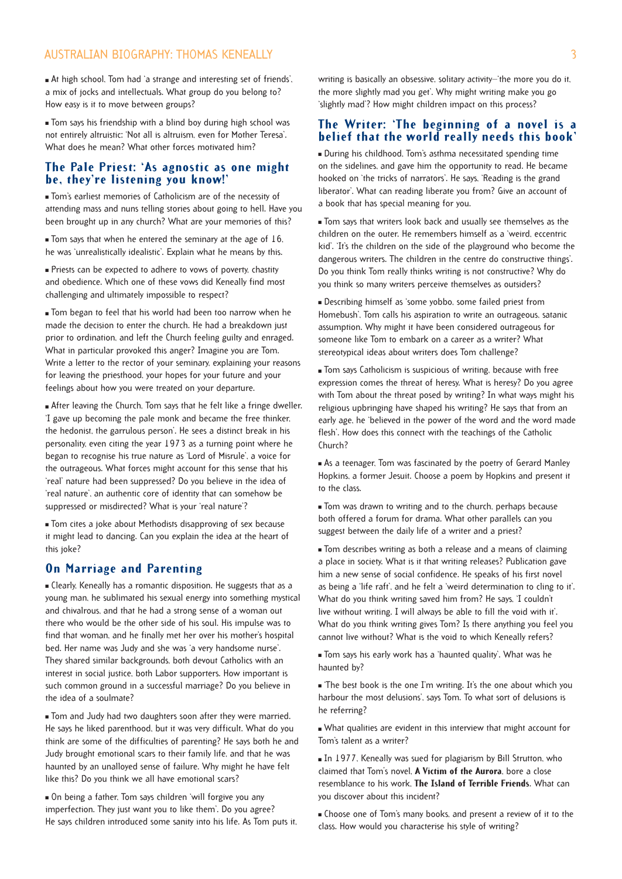# AUSTRALIAN BIOGRAPHY: THOMAS KENEALLY 3

 At high school, Tom had 'a strange and interesting set of friends', a mix of jocks and intellectuals. What group do you belong to? How easy is it to move between groups?

 Tom says his friendship with a blind boy during high school was not entirely altruistic: 'Not all is altruism, even for Mother Teresa'. What does he mean? What other forces motivated him?

### **The Pale Priest: 'As agnostic as one might be, they're listening you know!'**

 Tom's earliest memories of Catholicism are of the necessity of attending mass and nuns telling stories about going to hell. Have you been brought up in any church? What are your memories of this?

 $\blacksquare$  Tom says that when he entered the seminary at the age of 16, he was 'unrealistically idealistic'. Explain what he means by this.

 Priests can be expected to adhere to vows of poverty, chastity and obedience. Which one of these vows did Keneally find most challenging and ultimately impossible to respect?

 Tom began to feel that his world had been too narrow when he made the decision to enter the church. He had a breakdown just prior to ordination, and left the Church feeling guilty and enraged. What in particular provoked this anger? Imagine you are Tom. Write a letter to the rector of your seminary, explaining your reasons for leaving the priesthood, your hopes for your future and your feelings about how you were treated on your departure.

 After leaving the Church, Tom says that he felt like a fringe dweller. 'I gave up becoming the pale monk and became the free thinker, the hedonist, the garrulous person'. He sees a distinct break in his personality, even citing the year 1973 as a turning point where he began to recognise his true nature as 'Lord of Misrule', a voice for the outrageous. What forces might account for this sense that his 'real' nature had been suppressed? Do you believe in the idea of 'real nature', an authentic core of identity that can somehow be suppressed or misdirected? What is your 'real nature'?

 Tom cites a joke about Methodists disapproving of sex because it might lead to dancing. Can you explain the idea at the heart of this joke?

# **On Marriage and Parenting**

 Clearly, Keneally has a romantic disposition. He suggests that as a young man, he sublimated his sexual energy into something mystical and chivalrous, and that he had a strong sense of a woman out there who would be the other side of his soul. His impulse was to find that woman, and he finally met her over his mother's hospital bed. Her name was Judy and she was 'a very handsome nurse'. They shared similar backgrounds, both devout Catholics with an interest in social justice, both Labor supporters. How important is such common ground in a successful marriage? Do you believe in the idea of a soulmate?

 Tom and Judy had two daughters soon after they were married. He says he liked parenthood, but it was very difficult. What do you think are some of the difficulties of parenting? He says both he and Judy brought emotional scars to their family life, and that he was haunted by an unalloyed sense of failure. Why might he have felt like this? Do you think we all have emotional scars?

 On being a father, Tom says children 'will forgive you any imperfection. They just want you to like them'. Do you agree? He says children introduced some sanity into his life. As Tom puts it, writing is basically an obsessive, solitary activity—'the more you do it, the more slightly mad you get'. Why might writing make you go 'slightly mad'? How might children impact on this process?

### **The Writer: 'The beginning of a novel is a belief that the world really needs this book'**

 During his childhood, Tom's asthma necessitated spending time on the sidelines, and gave him the opportunity to read. He became hooked on 'the tricks of narrators'. He says, 'Reading is the grand liberator'. What can reading liberate you from? Give an account of a book that has special meaning for you.

 Tom says that writers look back and usually see themselves as the children on the outer. He remembers himself as a 'weird, eccentric kid'. 'It's the children on the side of the playground who become the dangerous writers. The children in the centre do constructive things'. Do you think Tom really thinks writing is not constructive? Why do you think so many writers perceive themselves as outsiders?

 Describing himself as 'some yobbo, some failed priest from Homebush', Tom calls his aspiration to write an outrageous, satanic assumption. Why might it have been considered outrageous for someone like Tom to embark on a career as a writer? What stereotypical ideas about writers does Tom challenge?

 Tom says Catholicism is suspicious of writing, because with free expression comes the threat of heresy. What is heresy? Do you agree with Tom about the threat posed by writing? In what ways might his religious upbringing have shaped his writing? He says that from an early age, he 'believed in the power of the word and the word made flesh'. How does this connect with the teachings of the Catholic Church?

 As a teenager, Tom was fascinated by the poetry of Gerard Manley Hopkins, a former Jesuit. Choose a poem by Hopkins and present it to the class.

 Tom was drawn to writing and to the church, perhaps because both offered a forum for drama. What other parallels can you suggest between the daily life of a writer and a priest?

 Tom describes writing as both a release and a means of claiming a place in society. What is it that writing releases? Publication gave him a new sense of social confidence. He speaks of his first novel as being a 'life raft', and he felt a 'weird determination to cling to it'. What do you think writing saved him from? He says, 'I couldn't live without writing. I will always be able to fill the void with it'. What do you think writing gives Tom? Is there anything you feel you cannot live without? What is the void to which Keneally refers?

 Tom says his early work has a 'haunted quality'. What was he haunted by?

 'The best book is the one I'm writing. It's the one about which you harbour the most delusions', says Tom. To what sort of delusions is he referring?

 What qualities are evident in this interview that might account for Tom's talent as a writer?

In 1977, Keneally was sued for plagiarism by Bill Strutton, who claimed that Tom's novel, **A Victim of the Aurora**, bore a close resemblance to his work, **The Island of Terrible Friends**. What can you discover about this incident?

 Choose one of Tom's many books, and present a review of it to the class. How would you characterise his style of writing?